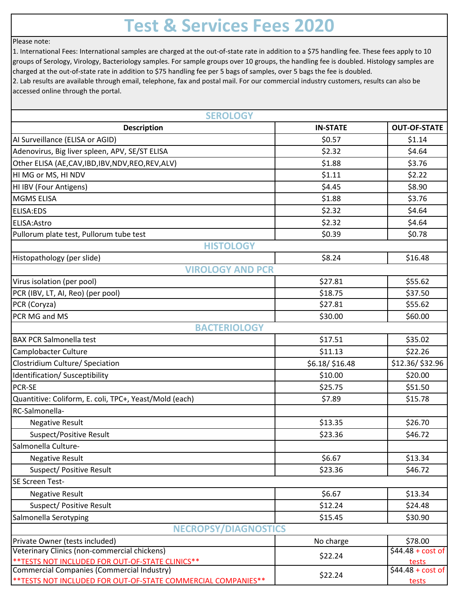## **Test & Services Fees 2020**

## Please note:

1. International Fees: International samples are charged at the out-of-state rate in addition to a \$75 handling fee. These fees apply to 10 groups of Serology, Virology, Bacteriology samples. For sample groups over 10 groups, the handling fee is doubled. Histology samples are charged at the out-of-state rate in addition to \$75 handling fee per 5 bags of samples, over 5 bags the fee is doubled.

2. Lab results are available through email, telephone, fax and postal mail. For our commercial industry customers, results can also be accessed online through the portal.

| <b>SEROLOGY</b>                                                                                |                 |                             |
|------------------------------------------------------------------------------------------------|-----------------|-----------------------------|
| <b>Description</b>                                                                             | <b>IN-STATE</b> | <b>OUT-OF-STATE</b>         |
| AI Surveillance (ELISA or AGID)                                                                | \$0.57          | \$1.14                      |
| Adenovirus, Big liver spleen, APV, SE/ST ELISA                                                 | \$2.32          | \$4.64                      |
| Other ELISA (AE,CAV,IBD,IBV,NDV,REO,REV,ALV)                                                   | \$1.88          | \$3.76                      |
| HI MG or MS, HI NDV                                                                            | \$1.11          | \$2.22                      |
| HI IBV (Four Antigens)                                                                         | \$4.45          | \$8.90                      |
| <b>MGMS ELISA</b>                                                                              | \$1.88          | \$3.76                      |
| ELISA:EDS                                                                                      | \$2.32          | \$4.64                      |
| ELISA: Astro                                                                                   | \$2.32          | \$4.64                      |
| Pullorum plate test, Pullorum tube test                                                        | \$0.39          | \$0.78                      |
| <b>HISTOLOGY</b>                                                                               |                 |                             |
| Histopathology (per slide)                                                                     | \$8.24          | \$16.48                     |
| <b>VIROLOGY AND PCR</b>                                                                        |                 |                             |
| Virus isolation (per pool)                                                                     | \$27.81         | \$55.62                     |
| PCR (IBV, LT, AI, Reo) (per pool)                                                              | \$18.75         | \$37.50                     |
| PCR (Coryza)                                                                                   | \$27.81         | \$55.62                     |
| PCR MG and MS                                                                                  | \$30.00         | \$60.00                     |
| <b>BACTERIOLOGY</b>                                                                            |                 |                             |
| <b>BAX PCR Salmonella test</b>                                                                 | \$17.51         | \$35.02                     |
| Camplobacter Culture                                                                           | \$11.13         | \$22.26                     |
| Clostridium Culture/ Speciation                                                                | \$6.18/\$16.48  | \$12.36/\$32.96             |
| Identification/ Susceptibility                                                                 | \$10.00         | \$20.00                     |
| PCR-SE                                                                                         | \$25.75         | \$51.50                     |
| Quantitive: Coliform, E. coli, TPC+, Yeast/Mold (each)                                         | \$7.89          | \$15.78                     |
| RC-Salmonella-                                                                                 |                 |                             |
| <b>Negative Result</b>                                                                         | \$13.35         | \$26.70                     |
| Suspect/Positive Result                                                                        | \$23.36         | \$46.72                     |
| Salmonella Culture-                                                                            |                 |                             |
| <b>Negative Result</b>                                                                         | \$6.67          | \$13.34                     |
| Suspect/ Positive Result                                                                       | \$23.36         | \$46.72                     |
| SE Screen Test-                                                                                |                 |                             |
| <b>Negative Result</b>                                                                         | \$6.67          | \$13.34                     |
| Suspect/ Positive Result                                                                       | \$12.24         | \$24.48                     |
| Salmonella Serotyping                                                                          | \$15.45         | \$30.90                     |
| <b>NECROPSY/DIAGNOSTICS</b>                                                                    |                 |                             |
| Private Owner (tests included)                                                                 | No charge       | \$78.00                     |
| Veterinary Clinics (non-commercial chickens)                                                   | \$22.24         | $$44.48 + cost of$          |
| ** TESTS NOT INCLUDED FOR OUT-OF-STATE CLINICS**<br>Commercial Companies (Commercial Industry) |                 | tests<br>$$44.48 + cost of$ |
| ** TESTS NOT INCLUDED FOR OUT-OF-STATE COMMERCIAL COMPANIES**                                  | \$22.24         | tests                       |